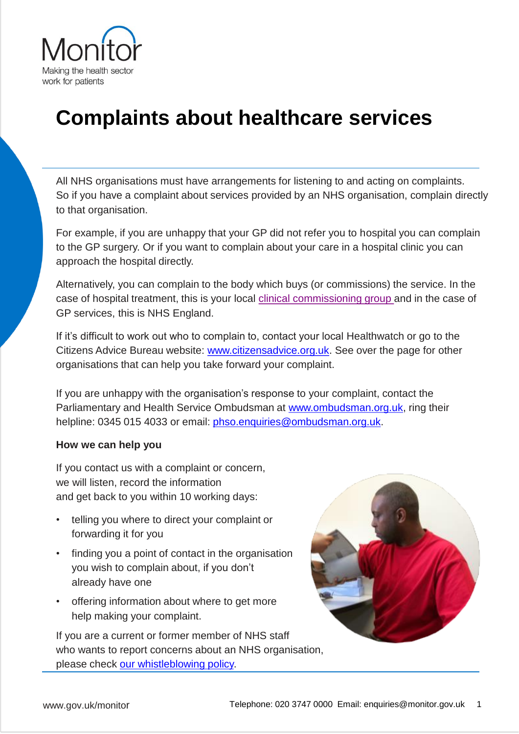

## **Complaints about healthcare services**

All NHS organisations must have arrangements for listening to and acting on complaints. So if you have a complaint about services provided by an NHS organisation, complain directly to that organisation.

For example, if you are unhappy that your GP did not refer you to hospital you can complain to the GP surgery. Or if you want to complain about your care in a hospital clinic you can approach the hospital directly.

Alternatively, you can complain to the body which buys (or commissions) the service. In the case of hospital treatment, this is your local [clinical commissioning group](http://www.nhs.uk/Service-Search/Clinical Commissioning Group/LocationSearch/1) and in the case of GP services, this is NHS England.

If it's difficult to work out who to complain to, contact your local Healthwatch or go to the Citizens Advice Bureau website: [www.citizensadvice.org.uk.](http://www.citizensadvice.org.uk/) See over the page for other organisations that can help you take forward your complaint.

If you are unhappy with the organisation's response to your complaint, contact the Parliamentary and Health Service Ombudsman at [www.ombudsman.org.uk](http://www.ombudsman.org.uk/), ring their helpline: 0345 015 4033 or email: [phso.enquiries@ombudsman.org.uk.](mailto:phso.enquiries@ombudsman.org.uk)

## **How we can help you**

If you contact us with a complaint or concern, we will listen, record the information and get back to you within 10 working days:

- telling you where to direct your complaint or forwarding it for you
- finding you a point of contact in the organisation you wish to complain about, if you don't already have one
- offering information about where to get more help making your complaint.

If you are a current or former member of NHS staff who wants to report concerns about an NHS organisation, please check [our whistleblowing policy](https://www.gov.uk/government/organisations/monitor/about/complaints-procedure#blow-the-whistle).